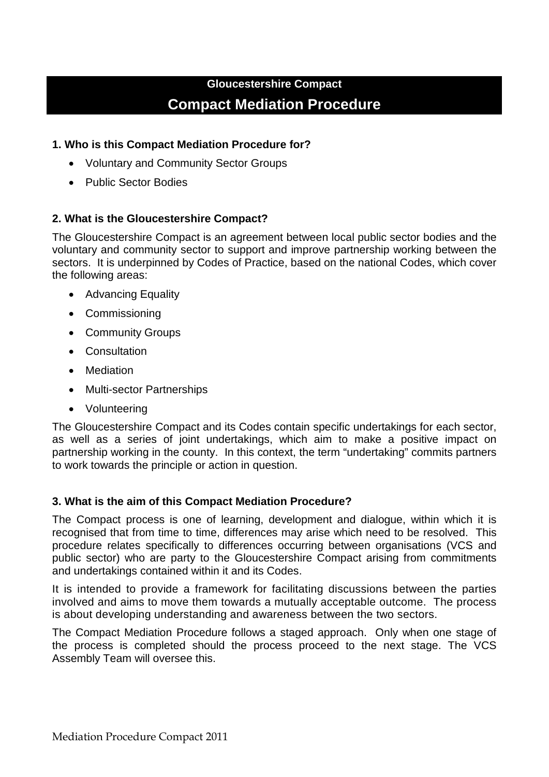## **Gloucestershire Compact Compact Mediation Procedure**

### **1. Who is this Compact Mediation Procedure for?**

- Voluntary and Community Sector Groups
- Public Sector Bodies

## **2. What is the Gloucestershire Compact?**

The Gloucestershire Compact is an agreement between local public sector bodies and the voluntary and community sector to support and improve partnership working between the sectors. It is underpinned by Codes of Practice, based on the national Codes, which cover the following areas:

- Advancing Equality
- Commissioning
- Community Groups
- Consultation
- Mediation
- Multi-sector Partnerships
- Volunteering

The Gloucestershire Compact and its Codes contain specific undertakings for each sector, as well as a series of joint undertakings, which aim to make a positive impact on partnership working in the county. In this context, the term "undertaking" commits partners to work towards the principle or action in question.

#### **3. What is the aim of this Compact Mediation Procedure?**

The Compact process is one of learning, development and dialogue, within which it is recognised that from time to time, differences may arise which need to be resolved. This procedure relates specifically to differences occurring between organisations (VCS and public sector) who are party to the Gloucestershire Compact arising from commitments and undertakings contained within it and its Codes.

It is intended to provide a framework for facilitating discussions between the parties involved and aims to move them towards a mutually acceptable outcome. The process is about developing understanding and awareness between the two sectors.

The Compact Mediation Procedure follows a staged approach. Only when one stage of the process is completed should the process proceed to the next stage. The VCS Assembly Team will oversee this.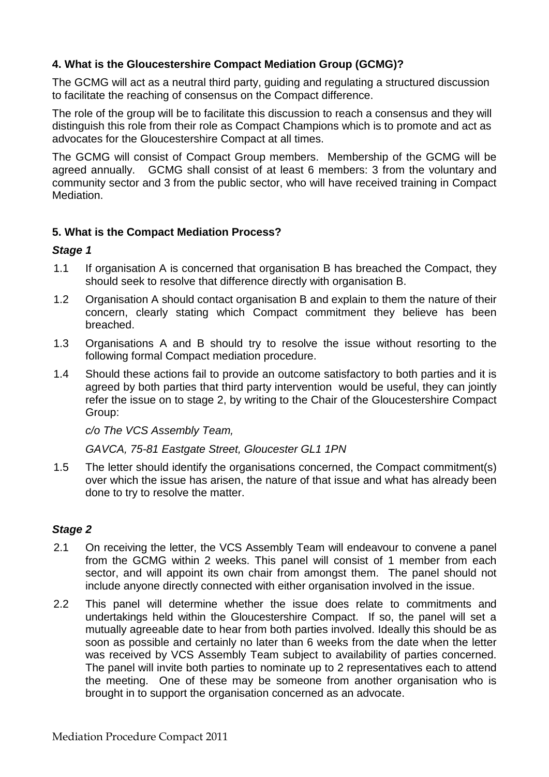## **4. What is the Gloucestershire Compact Mediation Group (GCMG)?**

The GCMG will act as a neutral third party, guiding and regulating a structured discussion to facilitate the reaching of consensus on the Compact difference.

The role of the group will be to facilitate this discussion to reach a consensus and they will distinguish this role from their role as Compact Champions which is to promote and act as advocates for the Gloucestershire Compact at all times.

The GCMG will consist of Compact Group members. Membership of the GCMG will be agreed annually. GCMG shall consist of at least 6 members: 3 from the voluntary and community sector and 3 from the public sector, who will have received training in Compact Mediation.

## **5. What is the Compact Mediation Process?**

#### *Stage 1*

- 1.1 If organisation A is concerned that organisation B has breached the Compact, they should seek to resolve that difference directly with organisation B.
- 1.2 Organisation A should contact organisation B and explain to them the nature of their concern, clearly stating which Compact commitment they believe has been breached.
- 1.3 Organisations A and B should try to resolve the issue without resorting to the following formal Compact mediation procedure.
- 1.4 Should these actions fail to provide an outcome satisfactory to both parties and it is agreed by both parties that third party intervention would be useful, they can jointly refer the issue on to stage 2, by writing to the Chair of the Gloucestershire Compact Group:

*c/o The VCS Assembly Team,*

*GAVCA, 75-81 Eastgate Street, Gloucester GL1 1PN* 

1.5 The letter should identify the organisations concerned, the Compact commitment(s) over which the issue has arisen, the nature of that issue and what has already been done to try to resolve the matter.

#### *Stage 2*

- 2.1 On receiving the letter, the VCS Assembly Team will endeavour to convene a panel from the GCMG within 2 weeks. This panel will consist of 1 member from each sector, and will appoint its own chair from amongst them. The panel should not include anyone directly connected with either organisation involved in the issue.
- 2.2 This panel will determine whether the issue does relate to commitments and undertakings held within the Gloucestershire Compact. If so, the panel will set a mutually agreeable date to hear from both parties involved. Ideally this should be as soon as possible and certainly no later than 6 weeks from the date when the letter was received by VCS Assembly Team subject to availability of parties concerned. The panel will invite both parties to nominate up to 2 representatives each to attend the meeting. One of these may be someone from another organisation who is brought in to support the organisation concerned as an advocate.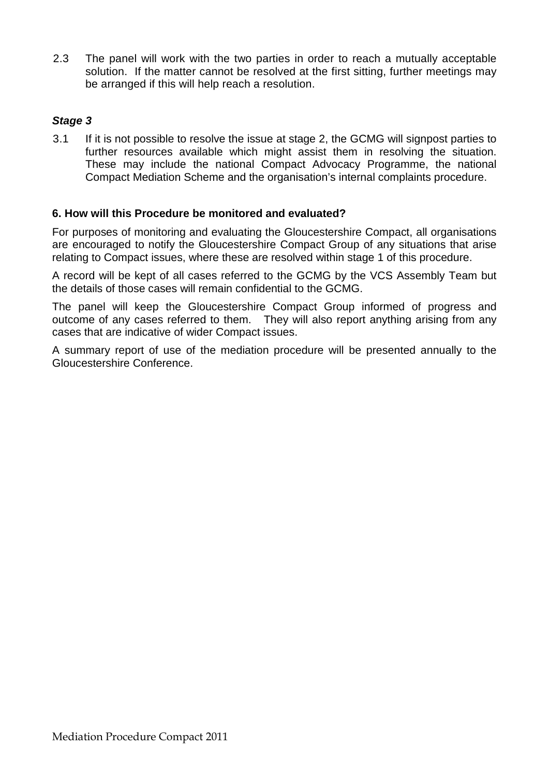2.3 The panel will work with the two parties in order to reach a mutually acceptable solution. If the matter cannot be resolved at the first sitting, further meetings may be arranged if this will help reach a resolution.

## *Stage 3*

3.1 If it is not possible to resolve the issue at stage 2, the GCMG will signpost parties to further resources available which might assist them in resolving the situation. These may include the national Compact Advocacy Programme, the national Compact Mediation Scheme and the organisation's internal complaints procedure.

## **6. How will this Procedure be monitored and evaluated?**

For purposes of monitoring and evaluating the Gloucestershire Compact, all organisations are encouraged to notify the Gloucestershire Compact Group of any situations that arise relating to Compact issues, where these are resolved within stage 1 of this procedure.

A record will be kept of all cases referred to the GCMG by the VCS Assembly Team but the details of those cases will remain confidential to the GCMG.

The panel will keep the Gloucestershire Compact Group informed of progress and outcome of any cases referred to them. They will also report anything arising from any cases that are indicative of wider Compact issues.

A summary report of use of the mediation procedure will be presented annually to the Gloucestershire Conference.